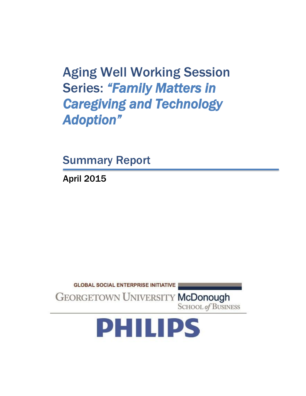Aging Well Working Session Series: *"Family Matters in Caregiving and Technology Adoption"* 

Summary Report

April 2015

**GLOBAL SOCIAL ENTERPRISE INITIATIVE GEORGETOWN UNIVERSITY McDonough** 

**SCHOOL of BUSINESS** 

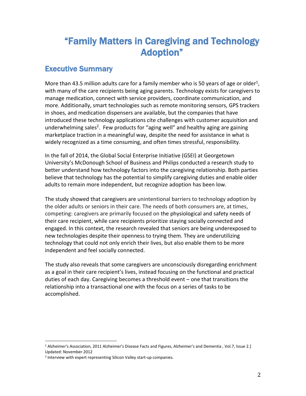# "Family Matters in Caregiving and Technology Adoption"

## Executive Summary

More than 43.5 million adults care for a family member who is 50 years of age or older<sup>1</sup>, with many of the care recipients being aging parents. Technology exists for caregivers to manage medication, connect with service providers, coordinate communication, and more. Additionally, smart technologies such as remote monitoring sensors, GPS trackers in shoes, and medication dispensers are available, but the companies that have introduced these technology applications cite challenges with customer acquisition and underwhelming sales<sup>2</sup>. Few products for "aging well" and healthy aging are gaining marketplace traction in a meaningful way, despite the need for assistance in what is widely recognized as a time consuming, and often times stressful, responsibility.

In the fall of 2014, the Global Social Enterprise Initiative (GSEI) at Georgetown University's McDonough School of Business and Philips conducted a research study to better understand how technology factors into the caregiving relationship. Both parties believe that technology has the potential to simplify caregiving duties and enable older adults to remain more independent, but recognize adoption has been low.

The study showed that caregivers are unintentional barriers to technology adoption by the older adults or seniors in their care. The needs of both consumers are, at times, competing: caregivers are primarily focused on the physiological and safety needs of their care recipient, while care recipients prioritize staying socially connected and engaged. In this context, the research revealed that seniors are being underexposed to new technologies despite their openness to trying them. They are underutilizing technology that could not only enrich their lives, but also enable them to be more independent and feel socially connected.

The study also reveals that some caregivers are unconsciously disregarding enrichment as a goal in their care recipient's lives, instead focusing on the functional and practical duties of each day. Caregiving becomes a threshold event – one that transitions the relationship into a transactional one with the focus on a series of tasks to be accomplished.

 $\overline{a}$ <sup>1</sup> Alzheimer's Association, 2011 Alzheimer's Disease Facts and Figures, Alzheimer's and Dementia , Vol.7, Issue 2.] Updated: November 2012

<sup>&</sup>lt;sup>2</sup> Interview with expert representing Silicon Valley start-up companies.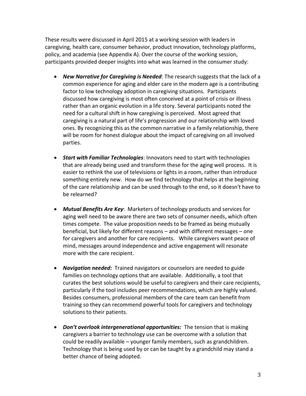These results were discussed in April 2015 at a working session with leaders in caregiving, health care, consumer behavior, product innovation, technology platforms, policy, and academia (see Appendix A). Over the course of the working session, participants provided deeper insights into what was learned in the consumer study:

- *New Narrative for Caregiving is Needed*: The research suggests that the lack of a common experience for aging and elder care in the modern age is a contributing factor to low technology adoption in caregiving situations. Participants discussed how caregiving is most often conceived at a point of crisis or illness rather than an organic evolution in a life story. Several participants noted the need for a cultural shift in how caregiving is perceived. Most agreed that caregiving is a natural part of life's progression and our relationship with loved ones. By recognizing this as the common narrative in a family relationship, there will be room for honest dialogue about the impact of caregiving on all involved parties.
- *Start with Familiar Technologies*: Innovators need to start with technologies that are already being used and transform these for the aging well process. It is easier to rethink the use of televisions or lights in a room, rather than introduce something entirely new. How do we find technology that helps at the beginning of the care relationship and can be used through to the end, so it doesn't have to be relearned?
- *Mutual Benefits Are Key*: Marketers of technology products and services for aging well need to be aware there are two sets of consumer needs, which often times compete. The value proposition needs to be framed as being mutually beneficial, but likely for different reasons – and with different messages – one for caregivers and another for care recipients. While caregivers want peace of mind, messages around independence and active engagement will resonate more with the care recipient.
- *Navigation needed:* Trained navigators or counselors are needed to guide families on technology options that are available. Additionally, a tool that curates the best solutions would be useful to caregivers and their care recipients, particularly if the tool includes peer recommendations, which are highly valued. Besides consumers, professional members of the care team can benefit from training so they can recommend powerful tools for caregivers and technology solutions to their patients.
- *Don't overlook intergenerational opportunities:* The tension that is making caregivers a barrier to technology use can be overcome with a solution that could be readily available – younger family members, such as grandchildren. Technology that is being used by or can be taught by a grandchild may stand a better chance of being adopted.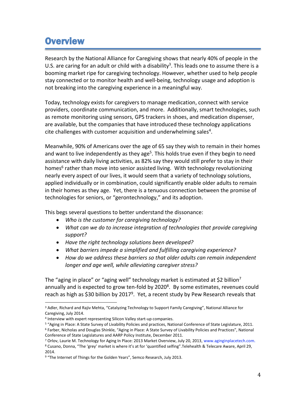# **Overview**

Research by the National Alliance for Caregiving shows that nearly 40% of people in the U.S. are caring for an adult or child with a disability<sup>3</sup>. This leads one to assume there is a booming market ripe for caregiving technology. However, whether used to help people stay connected or to monitor health and well-being, technology usage and adoption is not breaking into the caregiving experience in a meaningful way.

Today, technology exists for caregivers to manage medication, connect with service providers, coordinate communication, and more. Additionally, smart technologies, such as remote monitoring using sensors, GPS trackers in shoes, and medication dispenser, are available, but the companies that have introduced these technology applications cite challenges with customer acquisition and underwhelming sales<sup>4</sup>.

Meanwhile, 90% of Americans over the age of 65 say they wish to remain in their homes and want to live independently as they age<sup>5</sup>. This holds true even if they begin to need assistance with daily living activities, as 82% say they would still prefer to stay in their homes<sup>6</sup> rather than move into senior assisted living. With technology revolutionizing nearly every aspect of our lives, it would seem that a variety of technology solutions, applied individually or in combination, could significantly enable older adults to remain in their homes as they age. Yet, there is a tenuous connection between the promise of technologies for seniors, or "gerontechnology," and its adoption.

This begs several questions to better understand the dissonance:

- *Who is the customer for caregiving technology?*
- *What can we do to increase integration of technologies that provide caregiving support?*
- *Have the right technology solutions been developed?*
- *What barriers impede a simplified and fulfilling caregiving experience?*
- *How do we address these barriers so that older adults can remain independent longer and age well, while alleviating caregiver stress?*

The "aging in place" or "aging well" technology market is estimated at \$2 billion<sup>7</sup> annually and is expected to grow ten-fold by 2020<sup>8</sup>. By some estimates, revenues could reach as high as \$30 billion by 2017<sup>9</sup>. Yet, a recent study by Pew Research reveals that

 $\overline{a}$ 

<sup>&</sup>lt;sup>3</sup> Adler, Richard and Rajiv Mehta, "Catalyzing Technology to Support Family Caregiving", National Alliance for Caregiving, July 2014.

<sup>4</sup> Interview with expert representing Silicon Valley start-up companies.

<sup>&</sup>lt;sup>5</sup> "Aging in Place: A State Survey of Livability Policies and practices, National Conference of State Legislature, 2011. <sup>6</sup> Farber, Nicholas and Douglas Shinkle, "Aging in Place: A State Survey of Livability Policies and Practices", National Conference of State Legislatures and AARP Policy Institute, December 2011.

<sup>&</sup>lt;sup>7</sup> Orlov, Laurie M. Technology for Aging In Place: 2013 Market Overview, July 20, 2013, www.aginginplacetech.com. <sup>8</sup> Cusano, Donna, "The 'grey' market is where it's at for 'quantified selfing".Telehealth & Telecare Aware, April 29,

<sup>2014.</sup>

<sup>&</sup>lt;sup>9</sup> "The Internet of Things for the Golden Years", Semco Research, July 2013.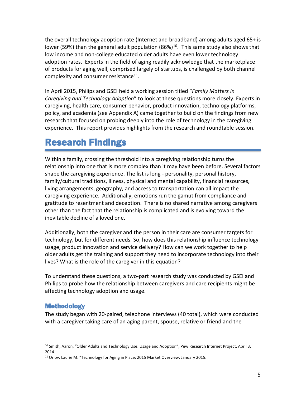the overall technology adoption rate (Internet and broadband) among adults aged 65+ is lower (59%) than the general adult population (86%)<sup>10</sup>. This same study also shows that low income and non-college educated older adults have even lower technology adoption rates. Experts in the field of aging readily acknowledge that the marketplace of products for aging well, comprised largely of startups, is challenged by both channel complexity and consumer resistance $^{11}$ .

In April 2015, Philips and GSEI held a working session titled "*Family Matters in Caregiving and Technology Adoption*" to look at these questions more closely. Experts in caregiving, health care, consumer behavior, product innovation, technology platforms, policy, and academia (see Appendix A) came together to build on the findings from new research that focused on probing deeply into the role of technology in the caregiving experience. This report provides highlights from the research and roundtable session.

# Research Findings

Within a family, crossing the threshold into a caregiving relationship turns the relationship into one that is more complex than it may have been before. Several factors shape the caregiving experience. The list is long - personality, personal history, family/cultural traditions, illness, physical and mental capability, financial resources, living arrangements, geography, and access to transportation can all impact the caregiving experience. Additionally, emotions run the gamut from compliance and gratitude to resentment and deception. There is no shared narrative among caregivers other than the fact that the relationship is complicated and is evolving toward the inevitable decline of a loved one.

Additionally, both the caregiver and the person in their care are consumer targets for technology, but for different needs. So, how does this relationship influence technology usage, product innovation and service delivery? How can we work together to help older adults get the training and support they need to incorporate technology into their lives? What is the role of the caregiver in this equation?

To understand these questions, a two-part research study was conducted by GSEI and Philips to probe how the relationship between caregivers and care recipients might be affecting technology adoption and usage.

## Methodology

The study began with 20-paired, telephone interviews (40 total), which were conducted with a caregiver taking care of an aging parent, spouse, relative or friend and the

 $\overline{a}$ <sup>10</sup> Smith, Aaron, "Older Adults and Technology Use: Usage and Adoption", Pew Research Internet Project, April 3, 2014.

<sup>&</sup>lt;sup>11</sup> Orlov, Laurie M. "Technology for Aging in Place: 2015 Market Overview, January 2015.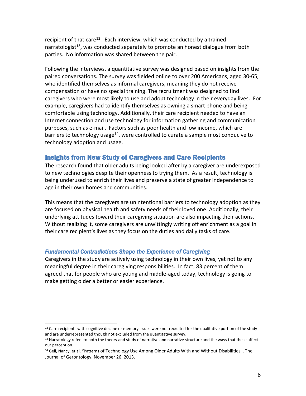recipient of that care<sup>12</sup>. Each interview, which was conducted by a trained narratologist<sup>13</sup>, was conducted separately to promote an honest dialogue from both parties. No information was shared between the pair.

Following the interviews, a quantitative survey was designed based on insights from the paired conversations. The survey was fielded online to over 200 Americans, aged 30-65, who identified themselves as informal caregivers, meaning they do not receive compensation or have no special training. The recruitment was designed to find caregivers who were most likely to use and adopt technology in their everyday lives. For example, caregivers had to identify themselves as owning a smart phone and being comfortable using technology. Additionally, their care recipient needed to have an Internet connection and use technology for information gathering and communication purposes, such as e-mail. Factors such as poor health and low income, which are barriers to technology usage<sup>14</sup>, were controlled to curate a sample most conducive to technology adoption and usage.

### Insights from New Study of Caregivers and Care Recipients

The research found that older adults being looked after by a caregiver are underexposed to new technologies despite their openness to trying them. As a result, technology is being underused to enrich their lives and preserve a state of greater independence to age in their own homes and communities.

This means that the caregivers are unintentional barriers to technology adoption as they are focused on physical health and safety needs of their loved one. Additionally, their underlying attitudes toward their caregiving situation are also impacting their actions. Without realizing it, some caregivers are unwittingly writing off enrichment as a goal in their care recipient's lives as they focus on the duties and daily tasks of care.

### *Fundamental Contradictions Shape the Experience of Caregiving*

Caregivers in the study are actively using technology in their own lives, yet not to any meaningful degree in their caregiving responsibilities. In fact, 83 percent of them agreed that for people who are young and middle-aged today, technology is going to make getting older a better or easier experience.

l  $12$  Care recipients with cognitive decline or memory issues were not recruited for the qualitative portion of the study and are underrepresented though not excluded from the quantitative survey.

 $13$  Narratology refers to both the theory and study of narrative and narrative structure and the ways that these affect our perception.

<sup>&</sup>lt;sup>14</sup> Gell, Nancy, et.al. "Patterns of Technology Use Among Older Adults With and Without Disabilities", The Journal of Gerontology, November 26, 2013.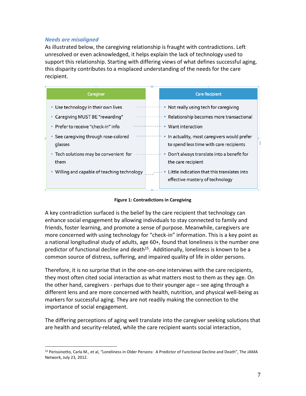### *Needs are misaligned*

 $\overline{a}$ 

As illustrated below, the caregiving relationship is fraught with contradictions. Left unresolved or even acknowledged, it helps explain the lack of technology used to support this relationship. Starting with differing views of what defines successful aging, this disparity contributes to a misplaced understanding of the needs for the care recipient.

| Caregiver                                      | <b>Care Recipient</b>                                                                 |
|------------------------------------------------|---------------------------------------------------------------------------------------|
| Use technology in their own lives              | Not really using tech for caregiving                                                  |
| Caregiving MUST BE "rewarding"                 | Relationship becomes more transactional                                               |
| Prefer to receive "check-in" info              | Want interaction                                                                      |
| See caregiving through rose-colored<br>glasses | In actuality, most caregivers would prefer<br>to spend less time with care recipients |
| • Tech solutions may be convenient for<br>them | Don't always translate into a benefit for<br>the care recipient                       |
| Willing and capable of teaching technology     | Little indication that this translates into<br>effective mastery of technology        |

**Figure 1: Contradictions in Caregiving**

A key contradiction surfaced is the belief by the care recipient that technology can enhance social engagement by allowing individuals to stay connected to family and friends, foster learning, and promote a sense of purpose. Meanwhile, caregivers are more concerned with using technology for "check-in" information. This is a key point as a national longitudinal study of adults, age 60+, found that loneliness is the number one predictor of functional decline and death<sup>15</sup>. Additionally, loneliness is known to be a common source of distress, suffering, and impaired quality of life in older persons.

Therefore, it is no surprise that in the one-on-one interviews with the care recipients, they most often cited social interaction as what matters most to them as they age. On the other hand, caregivers - perhaps due to their younger age – see aging through a different lens and are more concerned with health, nutrition, and physical well-being as markers for successful aging. They are not readily making the connection to the importance of social engagement.

The differing perceptions of aging well translate into the caregiver seeking solutions that are health and security-related, while the care recipient wants social interaction,

<sup>15</sup> Perissinotto, Carla M., et al, "Loneliness in Older Persons: A Predictor of Functional Decline and Death", The JAMA Network, July 23, 2012.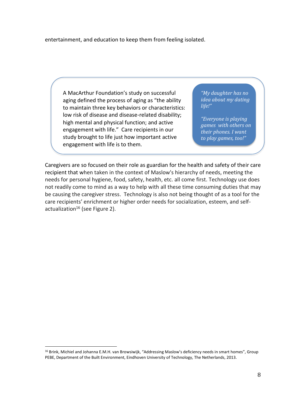entertainment, and education to keep them from feeling isolated.

A MacArthur Foundation's study on successful aging defined the process of aging as "the ability to maintain three key behaviors or characteristics: low risk of disease and disease-related disability; high mental and physical function; and active engagement with life." Care recipients in our study brought to life just how important active engagement with life is to them.

*"My daughter has no idea about my dating life!"*

*"Everyone is playing games with others on their phones. I want to play games, too!"*

Caregivers are so focused on their role as guardian for the health and safety of their care recipient that when taken in the context of Maslow's hierarchy of needs, meeting the needs for personal hygiene, food, safety, health, etc. all come first. Technology use does not readily come to mind as a way to help with all these time consuming duties that may be causing the caregiver stress. Technology is also not being thought of as a tool for the care recipients' enrichment or higher order needs for socialization, esteem, and selfactualization<sup>16</sup> (see Figure 2).

 $\overline{a}$ 

<sup>&</sup>lt;sup>16</sup> Brink, Michiel and Johanna E.M.H. van Browsiwijk, "Addressing Maslow's deficiency needs in smart homes", Group PEBE, Department of the Built Environment, Eindhoven University of Technology, The Netherlands, 2013.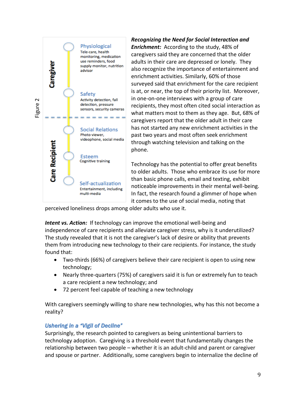

*Recognizing the Need for Social Interaction and Enrichment:* According to the study, 48% of caregivers said they are concerned that the older adults in their care are depressed or lonely. They also recognize the importance of entertainment and enrichment activities. Similarly, 60% of those surveyed said that enrichment for the care recipient is at, or near, the top of their priority list. Moreover, in one-on-one interviews with a group of care recipients, they most often cited social interaction as what matters most to them as they age. But, 68% of caregivers report that the older adult in their care has not started any new enrichment activities in the past two years and most often seek enrichment through watching television and talking on the phone.

Technology has the potential to offer great benefits to older adults. Those who embrace its use for more than basic phone calls, email and texting, exhibit noticeable improvements in their mental well-being. In fact, the research found a glimmer of hope when it comes to the use of social media, noting that

perceived loneliness drops among older adults who use it.

*Intent vs. Action:* If technology can improve the emotional well-being and independence of care recipients and alleviate caregiver stress, why is it underutilized? The study revealed that it is not the caregiver's lack of desire or ability that prevents them from introducing new technology to their care recipients. For instance, the study found that:

- Two-thirds (66%) of caregivers believe their care recipient is open to using new technology;
- Nearly three-quarters (75%) of caregivers said it is fun or extremely fun to teach a care recipient a new technology; and
- 72 percent feel capable of teaching a new technology

With caregivers seemingly willing to share new technologies, why has this not become a reality?

### *Ushering in a "Vigil of Decline"*

Surprisingly, the research pointed to caregivers as being unintentional barriers to technology adoption. Caregiving is a threshold event that fundamentally changes the relationship between two people – whether it is an adult-child and parent or caregiver and spouse or partner. Additionally, some caregivers begin to internalize the decline of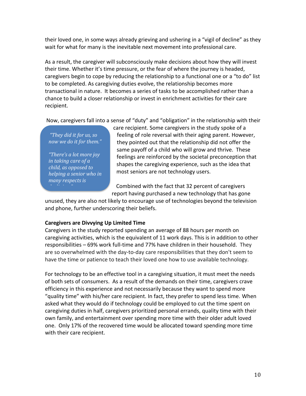their loved one, in some ways already grieving and ushering in a "vigil of decline" as they wait for what for many is the inevitable next movement into professional care.

As a result, the caregiver will subconsciously make decisions about how they will invest their time. Whether it's time pressure, or the fear of where the journey is headed, caregivers begin to cope by reducing the relationship to a functional one or a "to do" list to be completed. As caregiving duties evolve, the relationship becomes more transactional in nature. It becomes a series of tasks to be accomplished rather than a chance to build a closer relationship or invest in enrichment activities for their care recipient.

Now, caregivers fall into a sense of "duty" and "obligation" in the relationship with their

*"They did it for us, so now we do it for them."*

*"There's a lot more joy in taking care of a child, as opposed to helping a senior who in many respects is* 

care recipient. Some caregivers in the study spoke of a feeling of role reversal with their aging parent. However, they pointed out that the relationship did not offer the same payoff of a child who will grow and thrive. These feelings are reinforced by the societal preconception that shapes the caregiving experience, such as the idea that most seniors are not technology users.

Combined with the fact that 32 percent of caregivers report having purchased a new technology that has gone

unused, they are also not likely to encourage use of technologies beyond the television and phone, further underscoring their beliefs.

### **Caregivers are Divvying Up Limited Time**

Caregivers in the study reported spending an average of 88 hours per month on caregiving activities, which is the equivalent of 11 work days. This is in addition to other responsibilities – 69% work full-time and 77% have children in their household. They are so overwhelmed with the day-to-day care responsibilities that they don't seem to have the time or patience to teach their loved one how to use available technology.

For technology to be an effective tool in a caregiving situation, it must meet the needs of both sets of consumers. As a result of the demands on their time, caregivers crave efficiency in this experience and not necessarily because they want to spend more "quality time" with his/her care recipient. In fact, they prefer to spend less time. When asked what they would do if technology could be employed to cut the time spent on caregiving duties in half, caregivers prioritized personal errands, quality time with their own family, and entertainment over spending more time with their older adult loved one. Only 17% of the recovered time would be allocated toward spending more time with their care recipient.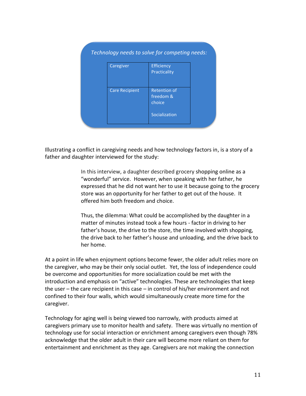| Caregiver             | <b>Efficiency</b>   |
|-----------------------|---------------------|
|                       | Practicality        |
| <b>Care Recipient</b> | <b>Retention of</b> |
|                       | freedom &           |
|                       | choice              |
|                       | Socialization       |

Illustrating a conflict in caregiving needs and how technology factors in, is a story of a father and daughter interviewed for the study:

> In this interview, a daughter described grocery shopping online as a "wonderful" service. However, when speaking with her father, he expressed that he did not want her to use it because going to the grocery store was an opportunity for her father to get out of the house. It offered him both freedom and choice.

> Thus, the dilemma: What could be accomplished by the daughter in a matter of minutes instead took a few hours - factor in driving to her father's house, the drive to the store, the time involved with shopping, the drive back to her father's house and unloading, and the drive back to her home.

At a point in life when enjoyment options become fewer, the older adult relies more on the caregiver, who may be their only social outlet. Yet, the loss of independence could be overcome and opportunities for more socialization could be met with the introduction and emphasis on "active" technologies. These are technologies that keep the user – the care recipient in this case – in control of his/her environment and not confined to their four walls, which would simultaneously create more time for the caregiver.

Technology for aging well is being viewed too narrowly, with products aimed at caregivers primary use to monitor health and safety. There was virtually no mention of technology use for social interaction or enrichment among caregivers even though 78% acknowledge that the older adult in their care will become more reliant on them for entertainment and enrichment as they age. Caregivers are not making the connection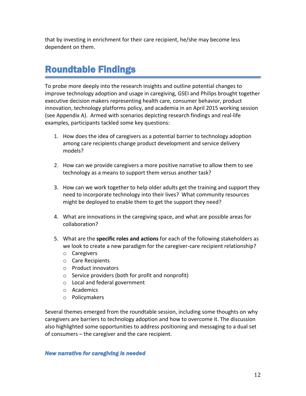that by investing in enrichment for their care recipient, he/she may become less dependent on them.

# Roundtable Findings

To probe more deeply into the research insights and outline potential changes to improve technology adoption and usage in caregiving, GSEI and Philips brought together executive decision makers representing health care, consumer behavior, product innovation, technology platforms policy, and academia in an April 2015 working session (see Appendix A). Armed with scenarios depicting research findings and real-life examples, participants tackled some key questions:

- 1. How does the idea of caregivers as a potential barrier to technology adoption among care recipients change product development and service delivery models?
- 2. How can we provide caregivers a more positive narrative to allow them to see technology as a means to support them versus another task?
- 3. How can we work together to help older adults get the training and support they need to incorporate technology into their lives? What community resources might be deployed to enable them to get the support they need?
- 4. What are innovations in the caregiving space, and what are possible areas for collaboration?
- 5. What are the **specific roles and actions** for each of the following stakeholders as we look to create a new paradigm for the caregiver-care recipient relationship?
	- o Caregivers
	- o Care Recipients
	- o Product innovators
	- o Service providers (both for profit and nonprofit)
	- o Local and federal government
	- o Academics
	- o Policymakers

Several themes emerged from the roundtable session, including some thoughts on why caregivers are barriers to technology adoption and how to overcome it. The discussion also highlighted some opportunities to address positioning and messaging to a dual set of consumers – the caregiver and the care recipient.

### *New narrative for caregiving is needed*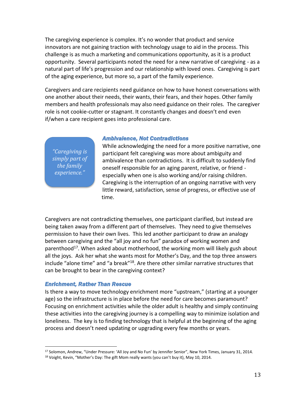The caregiving experience is complex. It's no wonder that product and service innovators are not gaining traction with technology usage to aid in the process. This challenge is as much a marketing and communications opportunity, as it is a product opportunity. Several participants noted the need for a new narrative of caregiving - as a natural part of life's progression and our relationship with loved ones. Caregiving is part of the aging experience, but more so, a part of the family experience.

Caregivers and care recipients need guidance on how to have honest conversations with one another about their needs, their wants, their fears, and their hopes. Other family members and health professionals may also need guidance on their roles. The caregiver role is not cookie-cutter or stagnant. It constantly changes and doesn't end even if/when a care recipient goes into professional care.

*"Caregiving is simply part of the family experience."*

#### *Ambivalence, Not Contradictions*

While acknowledging the need for a more positive narrative, one participant felt caregiving was more about ambiguity and ambivalence than contradictions. It is difficult to suddenly find oneself responsible for an aging parent, relative, or friend especially when one is also working and/or raising children. Caregiving is the interruption of an ongoing narrative with very little reward, satisfaction, sense of progress, or effective use of time.

Caregivers are not contradicting themselves, one participant clarified, but instead are being taken away from a different part of themselves. They need to give themselves permission to have their own lives. This led another participant to draw an analogy between caregiving and the "all joy and no fun" paradox of working women and parenthood<sup>17</sup>. When asked about motherhood, the working mom will likely gush about all the joys. Ask her what she wants most for Mother's Day, and the top three answers include "alone time" and "a break"<sup>18</sup>. Are there other similar narrative structures that can be brought to bear in the caregiving context?

### *Enrichment, Rather Than Rescue*

 $\overline{a}$ 

Is there a way to move technology enrichment more "upstream," (starting at a younger age) so the infrastructure is in place before the need for care becomes paramount? Focusing on enrichment activities while the older adult is healthy and simply continuing these activities into the caregiving journey is a compelling way to minimize isolation and loneliness. The key is to finding technology that is helpful at the beginning of the aging process and doesn't need updating or upgrading every few months or years.

<sup>17</sup> Solomon, Andrew, "Under Pressure: 'All Joy and No Fun' by Jennifer Senior", New York Times, January 31, 2014.

<sup>&</sup>lt;sup>18</sup> Voight, Kevin, "Mother's Day: The gift Mom really wants (you can't buy it), May 10, 2014.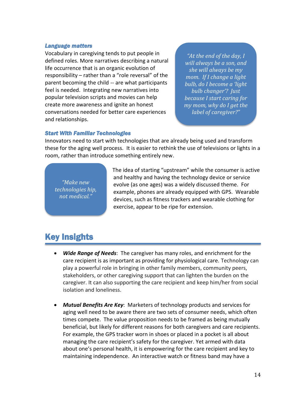#### *Language matters*

Vocabulary in caregiving tends to put people in defined roles. More narratives describing a natural life occurrence that is an organic evolution of responsibility – rather than a "role reversal" of the parent becoming the child -- are what participants feel is needed. Integrating new narratives into popular television scripts and movies can help create more awareness and ignite an honest conversations needed for better care experiences and relationships.

*"At the end of the day, I will always be a son, and she will always be my mom. If I change a light bulb, do I become a 'light bulb changer'? Just because I start caring for my mom, why do I get the label of caregiver?"*

#### *Start With Familiar Technologies*

Innovators need to start with technologies that are already being used and transform these for the aging well process. It is easier to rethink the use of televisions or lights in a room, rather than introduce something entirely new.

*"Make new technologies hip, not medical."*

The idea of starting "upstream" while the consumer is active and healthy and having the technology device or service evolve (as one ages) was a widely discussed theme. For example, phones are already equipped with GPS. Wearable devices, such as fitness trackers and wearable clothing for exercise, appear to be ripe for extension.

# Key Insights

- *Wide Range of Needs*: The caregiver has many roles, and enrichment for the care recipient is as important as providing for physiological care. Technology can play a powerful role in bringing in other family members, community peers, stakeholders, or other caregiving support that can lighten the burden on the caregiver. It can also supporting the care recipient and keep him/her from social isolation and loneliness.
- *Mutual Benefits Are Key*: Marketers of technology products and services for aging well need to be aware there are two sets of consumer needs, which often times compete. The value proposition needs to be framed as being mutually beneficial, but likely for different reasons for both caregivers and care recipients. For example, the GPS tracker worn in shoes or placed in a pocket is all about managing the care recipient's safety for the caregiver. Yet armed with data about one's personal health, it is empowering for the care recipient and key to maintaining independence. An interactive watch or fitness band may have a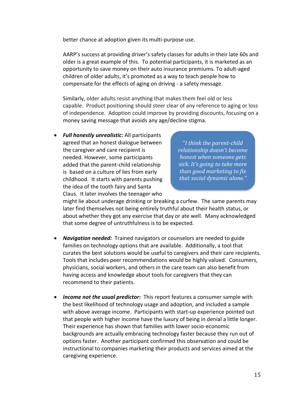better chance at adoption given its multi-purpose use.

AARP's success at providing driver's safety classes for adults in their late 60s and older is a great example of this. To potential participants, it is marketed as an opportunity to save money on their auto insurance premiums. To adult-aged children of older adults, it's promoted as a way to teach people how to compensate for the effects of aging on driving - a safety message.

Similarly, older adults resist anything that makes them feel old or less capable. Product positioning should steer clear of any reference to aging or loss of independence. Adoption could improve by providing discounts, focusing on a money saving message that avoids any age/decline stigma.

 *Full honestly unrealistic:* All participants agreed that an honest dialogue between the caregiver and care recipient is needed. However, some participants added that the parent-child relationship is based on a culture of lies from early childhood. It starts with parents pushing the idea of the tooth fairy and Santa Claus. It later involves the teenager who

"*I think the parent-child relationship doesn't become honest when someone gets sick. It's going to take more than good marketing to fix that social dynamic alone."*

might lie about underage drinking or breaking a curfew. The same parents may later find themselves not being entirely truthful about their health status, or about whether they got any exercise that day or ate well. Many acknowledged that some degree of untruthfulness is to be expected.

- *Navigation needed:* Trained navigators or counselors are needed to guide families on technology options that are available. Additionally, a tool that curates the best solutions would be useful to caregivers and their care recipients. Tools that includes peer recommendations would be highly valued. Consumers, physicians, social workers, and others in the care team can also benefit from having access and knowledge about tools for caregivers that they can recommend to their patients.
- *Income not the usual predictor:* This report features a consumer sample with the best likelihood of technology usage and adoption, and included a sample with above average income. Participants with start-up experience pointed out that people with higher income have the luxury of being in denial a little longer. Their experience has shown that families with lower socio-economic backgrounds are actually embracing technology faster because they run out of options faster. Another participant confirmed this observation and could be instructional to companies marketing their products and services aimed at the caregiving experience.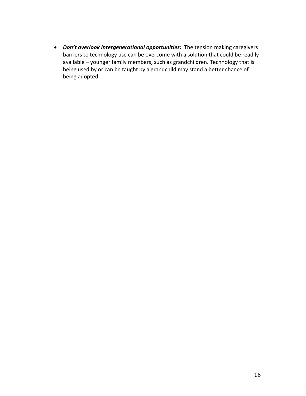*Don't overlook intergenerational opportunities:* The tension making caregivers barriers to technology use can be overcome with a solution that could be readily available – younger family members, such as grandchildren. Technology that is being used by or can be taught by a grandchild may stand a better chance of being adopted.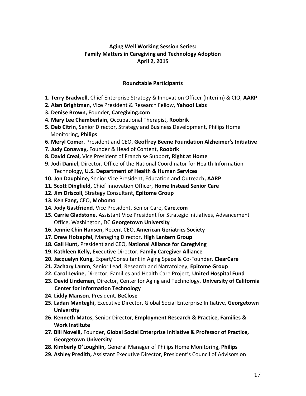### **Aging Well Working Session Series: Family Matters in Caregiving and Technology Adoption April 2, 2015**

### **Roundtable Participants**

- **1. Terry Bradwell**, Chief Enterprise Strategy & Innovation Officer (Interim) & CIO, **AARP**
- **2. Alan Brightman,** Vice President & Research Fellow, **Yahoo! Labs**
- **3. Denise Brown,** Founder, **Caregiving.com**
- **4. Mary Lee Chamberlain,** Occupational Therapist, **Roobrik**
- **5. Deb Citrin**, Senior Director, Strategy and Business Development, Philips Home Monitoring, **Philips**
- **6. Meryl Comer**, President and CEO, **Geoffrey Beene Foundation Alzheimer's Initiative**
- **7. Judy Conaway,** Founder & Head of Content, **Roobrik**
- **8. David Creal,** Vice President of Franchise Support**, Right at Home**
- **9. Jodi Daniel,** Director, Office of the National Coordinator for Health Information
	- Technology, **U.S. Department of Health & Human Services**
- **10. Jon Dauphine,** Senior Vice President, Education and Outreach**, AARP**
- **11. Scott Dingfield,** Chief Innovation Officer, **Home Instead Senior Care**
- **12. Jim Driscoll,** Strategy Consultant**, Epitome Group**
- **13. Ken Fang,** CEO, **Mobomo**
- **14. Jody Gastfriend,** Vice President, Senior Care, **Care.com**
- **15. Carrie Gladstone,** Assistant Vice President for Strategic Initiatives, Advancement Office, Washington, DC **Georgetown University**
- **16. Jennie Chin Hansen,** Recent CEO, **American Geriatrics Society**
- **17. Drew Holzapfel,** Managing Director, **High Lantern Group**
- **18. Gail Hunt,** President and CEO, **National Alliance for Caregiving**
- **19. Kathleen Kelly,** Executive Director, **Family Caregiver Alliance**
- **20. Jacquelyn Kung,** Expert/Consultant in Aging Space & Co-Founder, **ClearCare**
- **21. Zachary Lamm**, Senior Lead, Research and Narratology, **Epitome Group**
- **22. Carol Levine,** Director, Families and Health Care Project, **United Hospital Fund**
- **23. David Lindeman,** Director, Center for Aging and Technology, **University of California Center for Information Technology**
- **24. Liddy Manson**, President, **BeClose**
- **25. Ladan Manteghi,** Executive Director, Global Social Enterprise Initiative, **Georgetown University**
- **26. Kenneth Matos,** Senior Director, **Employment Research & Practice, Families & Work Institute**
- **27. Bill Novelli,** Founder, **Global Social Enterprise Initiative & Professor of Practice, Georgetown University**
- **28. Kimberly O'Loughlin,** General Manager of Philips Home Monitoring, **Philips**
- **29. Ashley Predith,** Assistant Executive Director, President's Council of Advisors on